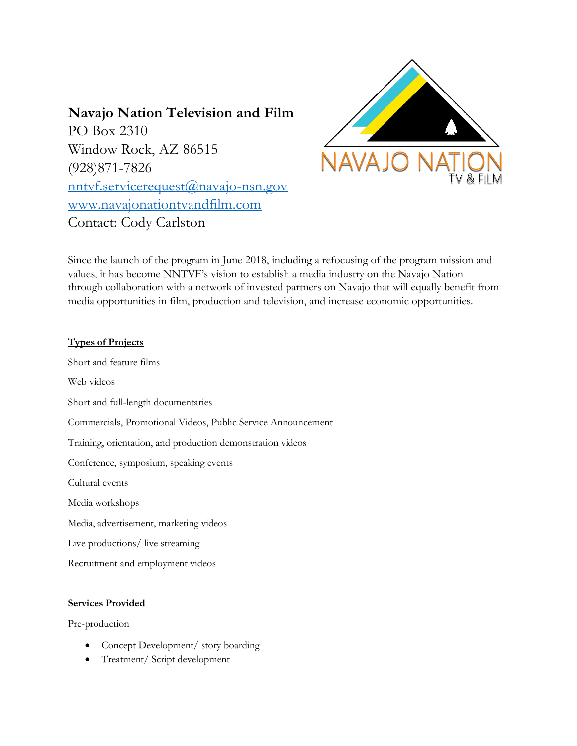# **Navajo Nation Television and Film**

PO Box 2310 Window Rock, AZ 86515 (928)871-7826 [nntvf.servicerequest@navajo-nsn.gov](mailto:nntvf.servicerequest@navajo-nsn.gov) [www.navajonationtvandfilm.com](http://www.navajonationtvandfilm.com/) Contact: Cody Carlston



Since the launch of the program in June 2018, including a refocusing of the program mission and values, it has become NNTVF's vision to establish a media industry on the Navajo Nation through collaboration with a network of invested partners on Navajo that will equally benefit from media opportunities in film, production and television, and increase economic opportunities.

## **Types of Projects**

Short and feature films Web videos Short and full-length documentaries Commercials, Promotional Videos, Public Service Announcement Training, orientation, and production demonstration videos Conference, symposium, speaking events Cultural events Media workshops Media, advertisement, marketing videos

Live productions/ live streaming

Recruitment and employment videos

## **Services Provided**

Pre-production

- Concept Development/ story boarding
- Treatment/ Script development